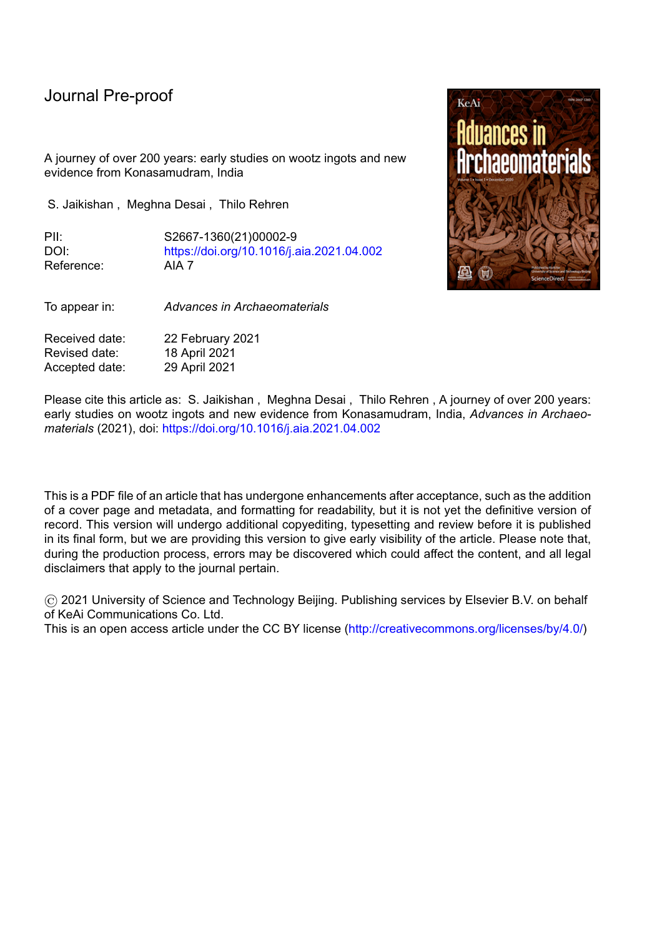A journey of over 200 years: early studies on wootz ingots and new evidence from Konasamudram, India

S. Jaikishan , Meghna Desai , Thilo Rehren

PII: S2667-1360(21)00002-9 DOI: <https://doi.org/10.1016/j.aia.2021.04.002> Reference: AIA 7

To appear in: *Advances in Archaeomaterials*

Received date: 22 February 2021 Revised date: 18 April 2021 Accepted date: 29 April 2021

Please cite this article as: S. Jaikishan , Meghna Desai , Thilo Rehren , A journey of over 200 years: early studies on wootz ingots and new evidence from Konasamudram, India, *Advances in Archaeomaterials* (2021), doi: <https://doi.org/10.1016/j.aia.2021.04.002>

This is a PDF file of an article that has undergone enhancements after acceptance, such as the addition of a cover page and metadata, and formatting for readability, but it is not yet the definitive version of record. This version will undergo additional copyediting, typesetting and review before it is published in its final form, but we are providing this version to give early visibility of the article. Please note that, during the production process, errors may be discovered which could affect the content, and all legal disclaimers that apply to the journal pertain.

© 2021 University of Science and Technology Beijing. Publishing services by Elsevier B.V. on behalf of KeAi Communications Co. Ltd.

This is an open access article under the CC BY license [\(http://creativecommons.org/licenses/by/4.0/\)](http://creativecommons.org/licenses/by/4.0/)

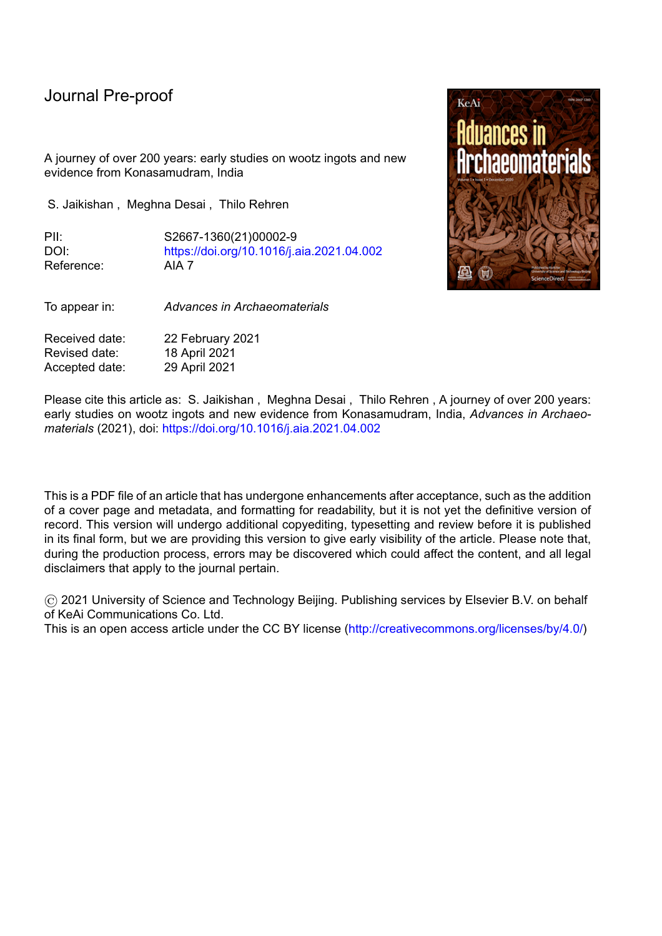# **A journey of over 200 years: early studies on wootz ingots and new evidence from Konasamudram, India**

# **S. Jaikishan<sup>1</sup>, Meghna Desai<sup>2</sup>, Thilo Rehren<sup>2, 3</sup>**

<sup>1</sup> DACRI, Hyderabad and Chairman, BNS College, Hyderabad.

l

² Science and Technology in Archaeology and Culture Research Center (STARC), The Cyprus Institute, Nicosia.

<sup>3</sup> UCL Institute of Archaeology, London, UK.

## **Abstract**

Recent new evidence emerged from the crucible steel production site of Konasamudram, Telangana, India. A hoard of 60 crucible steel ingots from this site offers a unique opportunity to study details of the early large-scale production of this fabled material, beginning with a detailed documentation of the weights and sizes of 45 of them. Historically, Konasamudram has been an important pre-modern crucible steel manufacturing and trading centre in India, as reported by Persian and European travelogues, and may have been the source of many of the early ingots studied during the past 200 years. Therefore, the aim of this work is to present a dimensional analysis of these ingots and interpret the data in the context of earlier studies, to address questions of consistency in manufacturing, standardization of weights and other physical attributes. The newly-discovered ingots show considerable uniformity in shape, size and weights, indicative of a single event production during the heydays of crucible steel making, while the ingots previously reported in the literature vary much more widely.

### **1. Introduction**

As a material, wootz steel was legendary for its outstanding toughness, flexibility and resistance, while its exotic origin made it even more mysterious (Verhoeven, 2001). For more than a millennium, swords and daggers made of this steel, often exhibiting wavy-watered patterns, were a prized commodity and status symbol of elite warriors, such as the famous northern European Ulfberht swords of the 9<sup>th</sup> to 11<sup>th</sup> century CE (Williams 2015; Feuerbach & Hanley 2017). The high carbon, slag free homogenous alloy was a revolutionary innovation of reducing iron in closed crucibles, a technology mastered only in a few regions of Asia, but traded on a continentwide scale. Throughout the  $2<sup>nd</sup>$  millennium, wootz, or its Persian counterpart pulad, continued to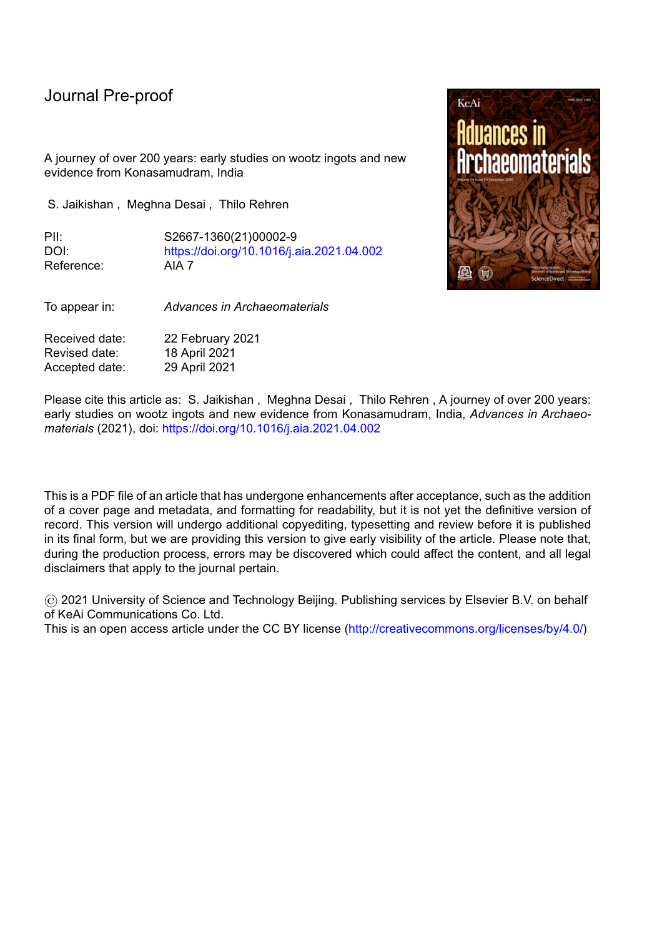l

draw interests of travellers, poets, geologists, metallurgists and archaeologists. The fascination of wootz grew among various disciplines almost into an obsession, probably because its true nature and production were never fully understood. Production in Central Asia peaked in the early 2<sup>nd</sup> millennium and seemed to all but cease several centuries later.

Southern India is a well-documented large crucible steel production ecosystem with several micro and macro production ecosystems within, which dominated global wootz production throughout at least the second half of the  $2<sup>nd</sup>$  millennium. This vast region is understated in its culturally and technically varied modes of production. Though many production centres and individual ingots and artefacts have been studied previously, the industry whether in fragments or as a whole was not contextualised. The recipes of modes of production are still not very clear, and the first-hand British accounts often lack details and accuracy of geography, vocabulary, interpretation etc.

The spatial and temporal origin of this mode of steel making remains unknown, while several studies of developed crucible steel production centres and techniques in Central Asia (Feuerbach 2002, Rehren & Papakhristu 2000; Rehren & Papachristou, 2003), Iran (Alipour & Rehren 2014) and South Asia (Lowe 1990, B. Prakash 1990, Juleff 1998, Srinivasan 1997, Anantharamu et al. 1999, Jaikishan 2007, etc) have shown its wide distribution in space and time (Fig. 1).

Waste products such as technical ceramics and slag are frequently encountered at such sites and form the basis for most studies of these operations, including production sites across Telangana (Lowe 1989-1991, Jaikishan 2007, Srinivasan 1994, Juleff et al. 2011). In contrast to the copious production waste, very few finished ingots have been found at archaeological sites, severely limiting our knowledge of crucible steel production. In 2016, the discovery of 60 crucible steel ingots from Konasamudram, Telangana, India was brought to the attention of one of us. The circumstances of their deposition and discovery are not well documented; however, they appear to have been kept together intentionally for later retrieval and use, which for whatever reason never happened. In this paper, we present this unique collection, referred to here as a hoard, with its geometrical and morphological characteristics and place it within the historical framework of crucible steel production in Telangana, in order to facilitate a renewed discussion of the wider aspects of this indigenous Indian industry.

## **2. Crucible steel in India**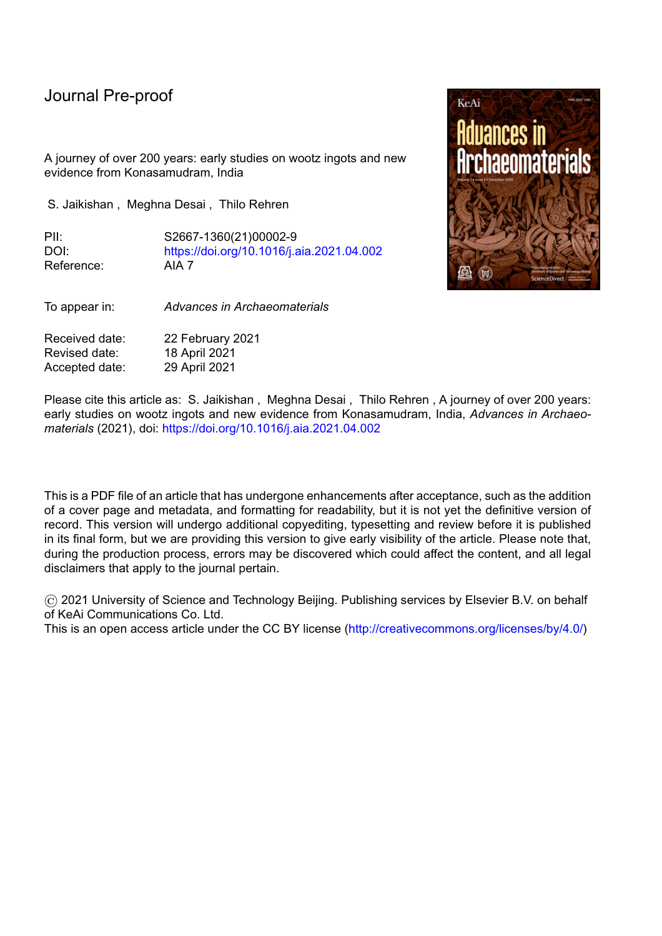The Indian subcontinent is home to several distinct regions known for their crucible steel production (Craddock 1995; Rehren and Papachristou 2003). Among the better-known of these are modern-day Karnataka in SW India (Craddock 1998), Telangana (Lowe 1989, Jaikishan 2007, Juleff et al. 2011), Tamil Nadu in the south of India (Srinivasan 1994; Srinivasan & Griffiths 1997), and Sri Lanka (Coomaraswamy 1908; Juleff 1998, 2015).

## **2.1. Early mentions of crucible steel making in Telangana**

l

Among the crucible steel production regions in the Indian subcontinent, Telangana was historically known as a prosperous region with abundant production of bloomery iron and crucible steel. The origin of the crucible steel industry in Telangana remains unknown, but its last remnants survived until the mid-19th century (Bilgrami & Willmott 1883, Coomaraswamy 1956, Jaikishan 2007).

In his ‗*Travels to India*,' (1676-originally in French) Jean-Baptiste Tavernier conveyed to his European readers the admiration of the riches of the Kingdom of Golconda which included diamonds, precious stones, extravagant fabrics, iron, and steel. Descriptions of the production of crucible steel begin from the 17th century onwards by Tavernier (1676), Thevenot (1687), Buchanan (1807), Heyne (1814), Voysey (1832), Heath (1839), and Ball (1883) etc. These accounts range in their geographical locations from the Kingdom of Golconda' stretching mostly from its capital, Hyderabad in modern-day Telangana State, to the east coast of India, and to the District of Mysore in the south. The production descriptions are difficult to locate geographically.

Bronson (1986) already points out the confusion this caused amongst the colonial authors and their audiences on the provenance and details of crucible steel production. He also makes a significant effort in distinguishing the descriptions of crucible steel from bloomery steels. Different and sometimes diverging observations were written from these individual locations, reporting multiple production methods. Therefore, it is quite possible that even contradictory first-hand observations are potentially all correct, while at the same time they may also quite possibly be incorrect due to limited familiarity of the early authors with the process and the intangible aspects of production. The problem of borrowing' earlier descriptions and passing them on as first-hand accounts continued far into the  $19<sup>th</sup>$  and early  $20<sup>th</sup>$  century reports (e.g., Schwarz 1901), resulting in further confusion and potential blurring of chronological and geographic detail.<sup>1</sup>

 $\overline{a}$ 

<sup>1</sup> This was because the area of the Nizam dominion was never scientifically or systematically studied, limiting access to first-hand observation by western scholars. For the first time in 1876, the then Nizam offered a mere area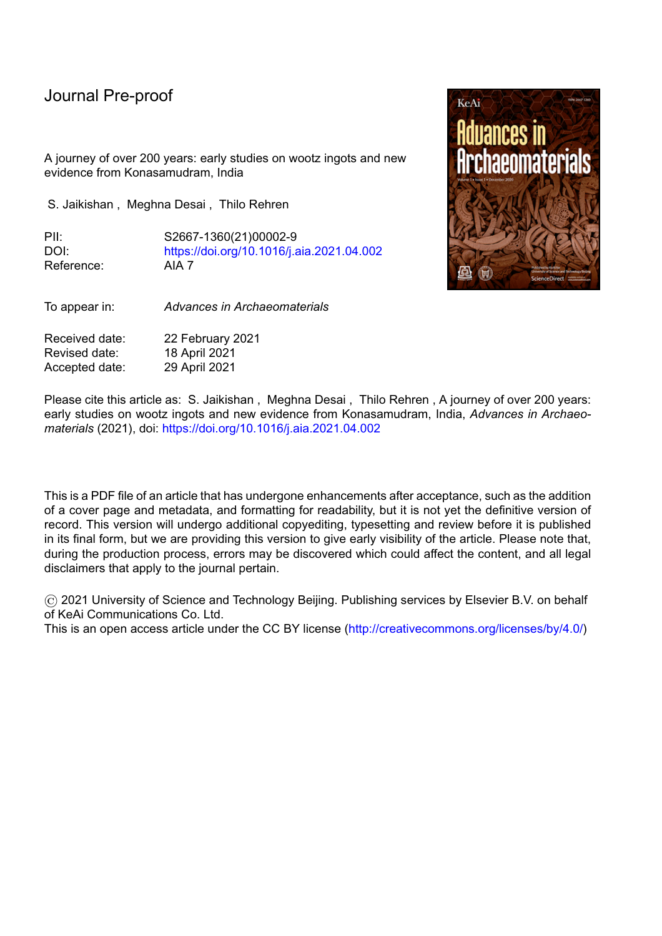l

Dr. Voysey (1832) anchored his notes on the crucible steel production at the village of Konasamudram, which he confirms having seen in person. His brief account of the process of production and trade of crucible steel formed for many years the basis of studying crucible steel production. The technical descriptions provided by him are fairly congruent to those provided by blacksmith M. Gangaram of Konapuram, interviewed by Dr S. Jaikishan (2007), which builds a firm ground of technical consciousness from a craftsman standpoint. One drawback of Voysey's account could be issues in proof reading or pending corrections, as the notes from his diary were published only posthumously by Prinsep.<sup>2</sup> The exact time period of Voysey's presence in Konasamudram is not documented; however, his geological survey reports were submitted in 1821 to the Asiatic Society (Torrens 1842), stating that he began his survey in 1819. Therefore, Voysey's presence in Konasamudram must be placed between 1819 and 1821.

Several decades later, Dr Walker (1850) comments that, due to the choice of ore, Konasamudram steel was better compared to that from contemporary villages in Yelgandal district and Ibrahimpatnam. Another forty years later, the steel produced at the latter places failed to yield even half the price of Konasamudram steel, even though being prepared with similar caution (Bilgrami  $\&$  Willmott 1883). Konasamudram potentially also fits the description of an obscure Indian village' which was difficult to access (Ball 1883). In the view of Dr Ball, the crucible steel industry then surviving was just a shadow of a more complex earlier system.<sup>3</sup> The compilation of the survey of the Nizam's territory (Bilgrami & Willmott 1883) described the presence of furnaces in Konasamudram, producing the same quality of steel that had earlier led to its fame. Ambiguity remains though regarding the profitability of the production, noting that the presence of blisters or an unequal surface of the ingots rendered them useless. The customers were reported to be Persians and Mughals, who purchased the steel directly from the furnaces. The notes of Voysey, published five decades earlier than the Bilgrami & Willmott survey, introduced the readers to his first-hand interaction with Haji Hosyn, a Persian merchant from Isfahan, who frequented Konasamudram to buy steel ingots and was personally supervising the production (Prinsep 1840).

 $\overline{a}$ 

of a twenty-mile radius from Hyderabad for studying its geology to E.G. Lynn - former Assistant Superintendent of the Geological Survey of India. He was also the compiler of the Gazetteer of Hyderabad and the territories of the Nizam (Bilgrami & Willmott, 1883). Two important works came out from this survey. One was by geologist Dr Valentine Ball and the other was the in-depth report of government officials Bilgrami and Willmott. Both these reports were published in 1883 and contain somewhat similar information to the making of crucible steel. The primary interests of this survey were to document the diamonds and the iron ore.

<sup>2</sup> This was also an issue with Heyne's (1814) account of iron and steel production in Andhra Pradesh, who states in the introductory section of the text that his work was published without his knowledge or corrections.

<sup>&</sup>lt;sup>3</sup> He compared the industry to the vestigial organs of the animal kingdom.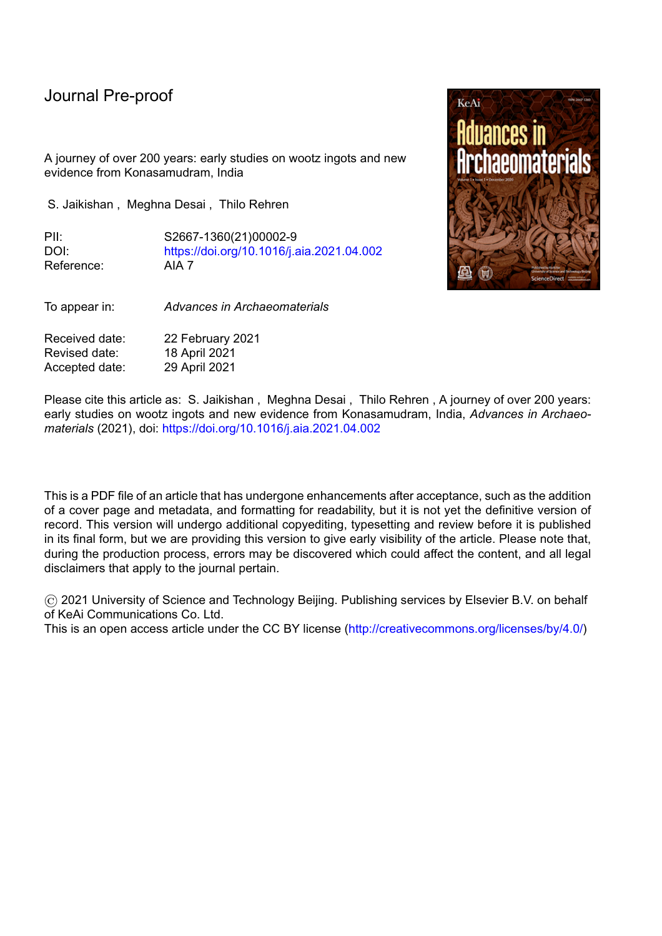Even today, Konasamudram<sup>4</sup> boasts a strong presence of blacksmiths and bronze smiths, most of whom do not practise the hereditary trade anymore. The historical socio-cultural practices of blacksmiths from Northern Telangana and their standing traditions have been documented by Jaikishan & Balasubramaniam (2007) and Neogi & Jaikishan (2011), while archaeometallurgical scholarship based on archaeological finds from Konasamudram (Lowe 1989-91; Jaikishan 2006; Jaikishan & Balasubramaniam 2007; Juleff et al. 2011; Srinivasan & Ranganathan 2011) has significantly aided in the understanding of Indian crucible steel making.

#### **2.2. Preceding studies of crucible steel ingots: A discussion**

l

Several studies of early Indian crucible steel ingots provide important insights into this material. The five ingots analysed by Mushet (1840) were provided to him by Joseph Banks, president of the Royal Society who in 1790 had received the samples from Helenus Scott, physician for the East India Company in the late  $18<sup>th</sup>$  and early  $19<sup>th</sup>$  century. Banks then passed the samples to several scientists (Bronson 1986). Scott, in his letter to Banks which was quoted by Pearson  $(1795)$  and Bronson  $(1986)$ , mentions that wootz was of harder temper and is used in cutting iron on a lathe; for cutting stones; for chisels; for making files; for saws and for every purpose where excessive hardness is necessary; interestingly, no use for bladed weapons is mentioned here.

Pearson suggested that the ingots were produced directly from the ore (Pearson 1795). His specimens were in the shape of round cakes of about 5 inches (127 mm) in diameter and 1 inch (25 mm) in thickness, weighing more than 2 lbs (1 kg). In this, Pearson's description is similar to the accounts of Heath (1839) from the Salem/Trichinopoly region in the far south of India. Unfortunately, the ingots provided by Banks to Pearson and Mushet have no recorded provenance, other than that of assumption; both authors provide similar physical characteristics of the ingots which were externally of dull black colour with a smooth surface except at few places where small holes and cavities were noted. Alternatively, Pearson may have received steel from Mysore, even though the weight of known ingots reported from Mysore did not exceed 320-450 gms (Buchanan 1807, Anantharamu et al. 1999).

Mushet seems to assume that wootz was made by fusion, commenting on the crystallisation visible on the rounder lower surface (which seemed to have the form of the bottom of the crucible), on the want of homogeneity and solidity of most examples, and on the very high carbon content of some, which approach very near to the nature of cast iron (Bronson 1986).

 $\overline{a}$ 

 $4$  (18.7306° N, 78.5221° E), with a current population of around 4,000 people in Kammarpally Mandal of Nizamabad district in the northern region of Telangana.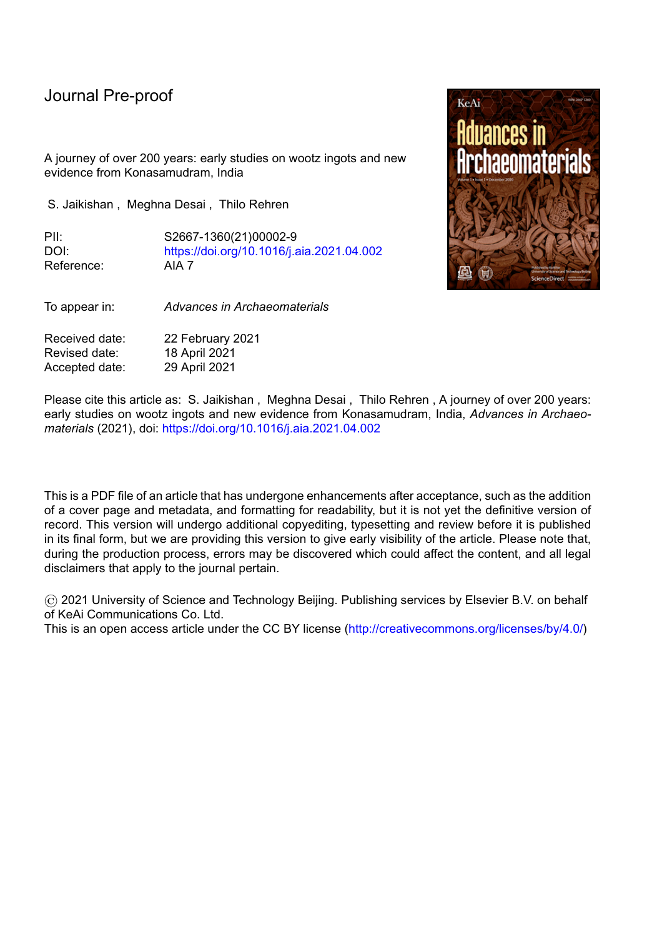l

Bronson's review of ingots erroneously refers to crystallisation being visible on the lower surface of the ingot, even though Smith (1960) already makes it clear that the signs of crystallisation appear on the top part of the ingot during consolidation, and not on the bottom.

There was considerable difference in the wootz samples received by Mushet and Pearson. Following his discussion with Josiah Heath, Mushet (1840: 662-5) points at the existence of two distinct shapes of crucible steel ingots, which he identified as cakes and conical shaped ingots, respectively, with each shape suggested to reflect a different district of production. While the conical ingots weigh less than a pound, they are said to be denser than the cakes, whose dimensions are given as 3.5 inches (85-90 mm) in diameter and 5/8ths to 3/4ths of an inch thick (16 to 19 mm; Mushet, 1840), with the two allegedly resulting from different production processes. From his own experiments on the five ingot samples given to him, and the implements forged out of them in England, Mushet concluded for one of them the method of production as a direct reduction from the ore without an intermediate wrought iron step. As aforesaid, he changed his opinion after communicating with Heath, an industrialist who was interested in exploiting the wootz ores' from India and producing his own quality steel, based on a method of production followed in Mysore/Salem-Trichinopoly region (Bronson 1986; Lowe 1990). Despite having changed his mind in the main text, Mushet in his notes still says that he was tempted to maintain his conclusions at least from one district' which may have practised wootz production by reduction of the ore and precipitation of steel. His examination of cakes' concludes that they were not fully melted. This conclusion was also supported independently by Buchanan (1807) and Wilkinson (1837). Campbell (1842) reports manufacturing natural steel directly from the iron sand in the furnace and adds a further observation on production of good quality steel from cast iron with the same iron sand as the raw material. Thus, the  $19<sup>th</sup>$  century accounts, written while the industry was still operating and building on a century of first-hand reports, unfortunately still give rather incomplete and often contradictory or at least vague descriptions of the actual wootz making processes. Therefore, no firm conclusions are possible, due to the procurement and study of samples without proper identification, and despite the personal gains and interests of colonial metallurgists and industrialists. The metallographic study in 1956 of the cross-sections of one of the conical ingots, given in the late 19th century to the Royal School of Mines by Thomas Holland, who in 1903 became Director of the Geological Survey of India, did not change this situation. It revealed that the ingot had been entirely melted, showing a distinct dendritic structure with a carbon content of 1.34%, contradictory to the former conclusions of incomplete melting of the ingot (Smith 1960).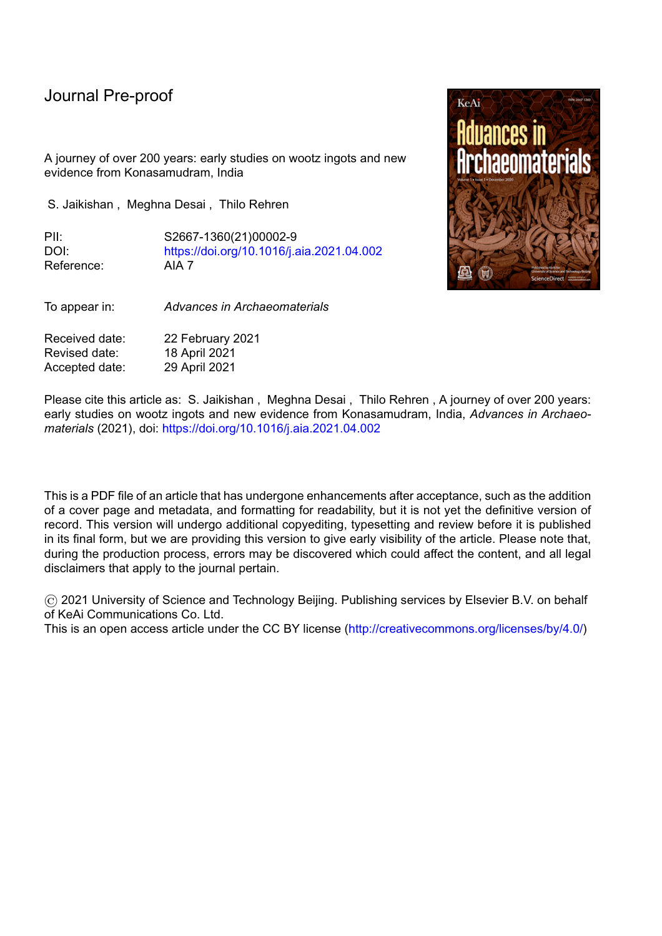An isolated description of a wootz cake from Cutch, a region in north-western India, is mentioned by Wilkinson (1837), who proposes that the quality of the wootz steel cake depends on the ore. The cake he examined from Cutch weighed 2.5 pounds, nearly equal to a little over a kilogram. Unfortunately, no further physical features are provided for this ingot, preventing further discussion here.

After a long interval, more direct evidence and analysis of wootz steel ingots from Konasamudram comes from the work of the late Thelma Lowe in the late  $20<sup>th</sup>$  century, analysed by D. Scott, then Head of the Getty Conservation Institute. There are no direct results published on the ingots collected by her, but micrographs are printed in Scott (2013) along with a picture of one of the ingots. This photograph of the ingot showed similar external features as the ingots in the hoard presented here, but appears smaller in size compared to the current hoard. Scott (2013) reports the carbon content of two of her ingots to be between 1 and 1.3%. In another micrograph of a different wootz cake specimen collected by Lowe, the formation of ledeburite was identified, indicating a carbon content of more than 2 wt%.

# **2.3. The decline of crucible steel production in Telangana**

l

Reports of the decline of indigenous iron and steel making begin to appear in the early 19th century. The early travelogues of merchants such as Tavernier do not mention any threat to the indigenous industry, however Tavernier does point out that then King of Golconda made it difficult for the steel to leave his region, while his counterpart in Persia prevented the re-export of steel that had entered his realm (transl. by Ball V & Crooke W.1925; Coze, 2007). This, and Tavernier's mention of fraud and the likelihood that some pieces have not been well prepared, and which could not be damasked' (Coze 2007), indicates the paucity of materials and high value of the steel. Whether the not well prepared' steel was intentional fraud, or unintentional lack of quality control, may reflect the then status of the industry.

The account written by Thevenot mentions a previous blade manufacturing town of Indalwai, which by his time (around the 1680s) had already ceased to exist. Two centuries later, apart from Konasamudram most of the furnaces in Northern Telangana had discontinued their production due to the import of English iron and ready-made arms (Ball, 1883; Bilgrami & Willmott 1883). Iron mines around Dimdurti, on the banks of River Godavari in Northern Telangana, were at least exploited until the 1880s (Coomaraswamy 1956), which according to Voysey could be a possible source of iron for crucible steel production. In Mysore, a crucible steel production centre in Southern India (Buchanan 1807), the production and local demand for crucible steel continued until the early 1900s, but it was sold at higher rates than the imported iron. Some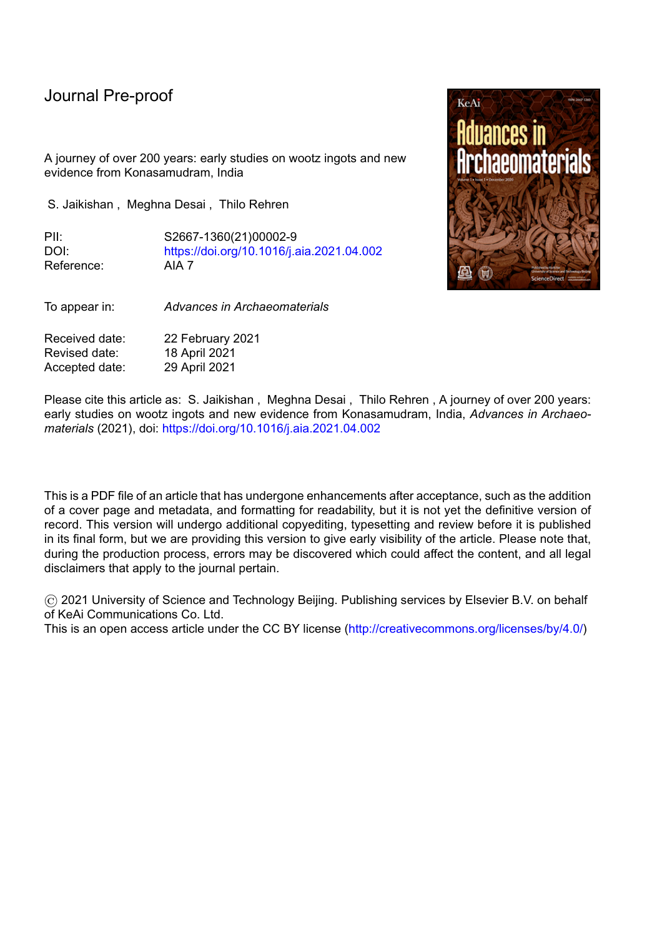suggestions were made to revive the industry, but it shortly thereafter collapsed (Coomaraswamy 1956).

l

Amongst the causes of decline that are discussed below, the principal ones mentioned by the British writers involve the competition with English iron and the scarcity of fuel. The unrestricted import of arms reduced the demand of locally produced iron and steel. In the catalogues and documentation commissioned by the Imperial government in the 1800s (Walker 1841; Bilgrami & Willmott 1883), English blades were camouflaged as native swords and sold in the markets. The iron imported from England was not malleable enough for the blacksmiths to forge it (Ball 1883), but, although it was less pure, it could be custom made suiting the purposes of the buyer. This quality was lacking in the indigenous iron which always provided identical types of metal. The craftsmen of the northern and eastern regions of the Nizam's dominions found it difficult to sell their steel in the Hyderabad market as it was overrun by English iron (Walker 1950: 227). Since the mid-nineteenth century, propositions were made to the imperial government time and again to undertake iron production in India, which would have circulated the funds within India, empowering both the economy and craftsmen who would be eventually employed in these enterprises. However, the government rendered the production as nonprofitable and continued importing iron (Ball 1883). While this concerned the iron industry in general, it is reasonable to assume that crucible steel production would have been similarly affected.

The second cause was the rapidly depleting fuel source for the charcoal needed in the furnaces, which was what probably led to the Forests Acts passed from 1865 onwards (Burton 1884:111; Reddy et al. 2010) and the Land Revenue Settlement of 1869. These Acts, created in harmony between the Nizams and the Presidency, were applicable to the newly created administrative districts as well as to the tracts of Godavari. The Act prohibited the exploitation of forests by the natives, with the state monopolising the utilization of these vast resources for their quality timber for its own needs, such as shipbuilding. The Forest Act was complemented by the Land Revenue Settlement which placed all the previously independent areas belonging to the blacksmiths and other tribal settlers into the hands of landlords (*zamindars*), with ultimate ownership by the state (Bukhya 2013). As a result, the occupational classes turned to agriculture to ensure their livelihoods. This is presumably the reason for blacksmith Mr Gangaram in his interview (Jaikishan 2007) to comment on increasing developments in agriculture leading to the withdrawal of blacksmithing operations in the areas around Konasamudram.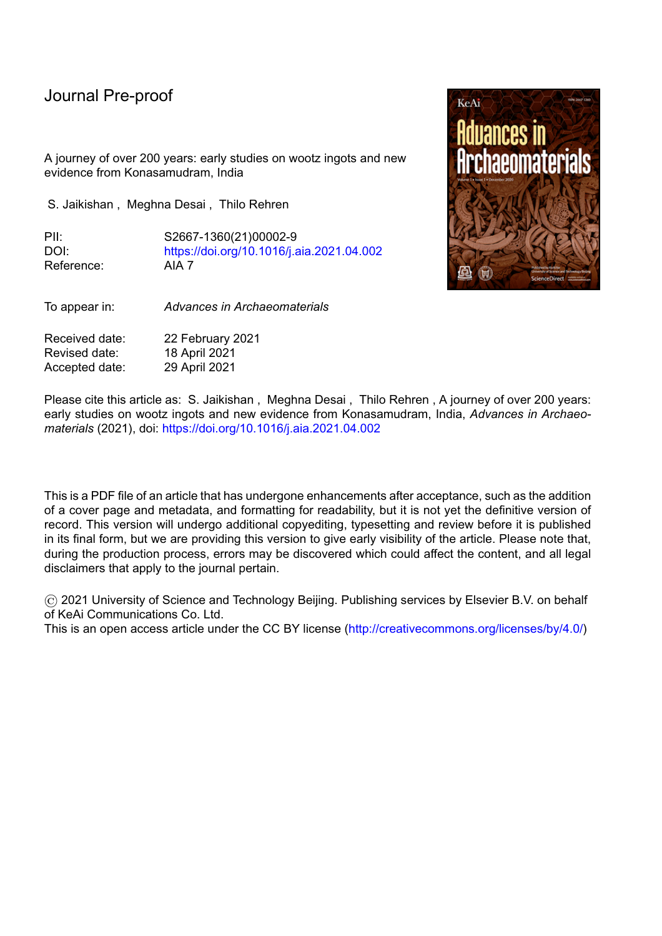l

The local landlords were instrumental in damaging the industry. Voysey speaks of a landlord who seemed to have controlled steel production of Konasamudram. This landlord would take the amount given in advance by the buyer and therefore, the buyer has to bear the entire expense of the product again, increasing the cost of steel. In the 1830s, the produce of one furnace was 50 seers<sup>5</sup> (roughly around 48-50 kgs) of metal, or 37 Rupees<sup>6</sup> in value. The ingots weighed about 1.5  $\text{lbs}^7$ . The exact prices of steel per ingot still remain unknown due to the changing weights standards and currency values.

According to Walker (1850: 183, 226), a Mogul' who rents the furnaces at Konasamudram' and farms the famous steel manufacture of Konasamudram' attempted to monopolise ore supply and steel production. Whether this Mogul' is a member of the Mogul monarchy or an individual with vested interests remains unclear from Walker's description. The decline of the traditional iron and steel industry is still felt today; currently, there are 60 surviving families of blacksmiths in Konasamudram, who have quit the craft due to the scarcity of work (Jaikishan 2007b).

# **3. The hoard**

 $\overline{a}$ 

In 2016, Dr S. Jaikishan was informed by a resident of Konasamudram, Mr Sabbani Poshanna, that he had unearthed 60 wootz ingots in the backyard of his house adjacent to the wall of the house while digging a gutter for his tap connection. Some 15 years prior, Mr Poshanna had purchased the house from Kammari Hanumandlu, a blacksmith hailing from a family of wootz steelmakers who earned his survival by sharpening and forging iron implements for agricultural use.<sup>8</sup> Due to paucity of work, Mr Hanumandlu and his family left Konasamudram in 2008. Mr Poshanna, the current owner of the house, agreed to sell 56 of the ingots to Dr Jaikishan, two were taken by Mr Poshanna's son, and one ingot was sold to a teacher from Siddipet. One ingot was kept by Mr Poshanna.

<sup>&</sup>lt;sup>5</sup> Seer was a common market terminology for exchange in India.

<sup>1</sup> Indian seer = 933.1 gms = 80 tolas. The weights were standardised differently in the Nizam's dominion and were subjected to regular change. The British weights in India were based on that of wheat berries, while those prior to the Imperial system depended on a grain of rice or barley corn (Prinsep, 1840).

<sup>&</sup>lt;sup>6</sup> A cake weighing 110 rupees is sold on spot for 8 annas (Voysey, 1830). According to different parts of the Nizam's territory, the rupee weight changes. However, 1 seer ranges between 108-120 rupees, but in Ahmednagar close to Hyderabad it is 80 rupees = 1seer. Nizam's territory also has pusseree as the until which meant five seers but varies greatly due to incomprehension and deceit (Martin, 1839). In Heyne (1814) 96 rupees = 1 seer, therefore, 110 rupees should be approximately around 1.2 seers which is close to the weight of ingots examined in this study. Heyne and Voysey's accounts appear to be apart by not more than a couple of decades.

<sup>&</sup>lt;sup>7</sup> We cannot say whether this is troy pounds or the modern-day pounds. If it is a troy pound, then, 1 maund = 100 English troy pounds = 37.3 kgs. Therefore, 1.5 troy pounds should be roughly equal to 0.56 kgs, almost half the weight of the individual ingots in the hoard currently examined in this work.

<sup>&</sup>lt;sup>8</sup> The prefix Kammari' is added to his name to indicate his occupation as a blacksmith.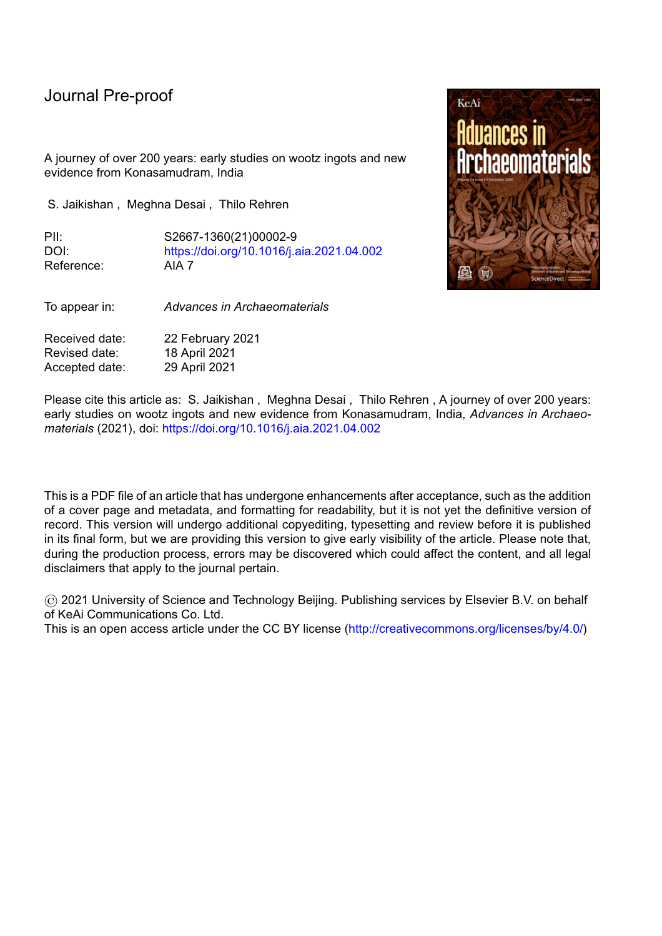l

The ingots are flat plano-convex discs, with a smooth lower convex side and a more or less flat upper surface  $(Fig. 2)$ . The upper surface of a few ingots shows a radiating dendritic pattern from the centre of the ingot, formed during the crystallisation of the metal inside the crucible along with a subtle depression in the centre. The demarcation of the formation of a slag fin throughout the circumference of the ingots is also recognisable in some pieces. The physical dimensions of 45 of the ingots are reported in Table1, based on measurements using a vernier calliper, electronic weighing scale and a measuring tape. The remaining 11 ingots could not be measured in detail, but are visually very similar. The average weight is just over 1 kg, with diameters around 95 mm and maximum thicknesses just under 30 mm. The consistency of their dimensions is remarkable, particularly regarding the diameter with a standard deviation of just 2.5% of the absolute value.

## **3.1. The ingots in context**

The 45 plano-convex ingots range between 80-90 mm in diameter with an average weight of 1066 g. Their shape and surface texture indicate that they solidified from a fully molten liquid. The external surfaces of the ingots are of dull black colour with some rust and small gas voids and craters on the surface, formed during the solidification of the metal; however, corrosion overall is limited. Several ingots have an uneven thickness due to tilting of the crucibles while in the furnace. Remarkably similar physical observations and diagnostic features were already noted by Mushet and Pearson in their study of cakes of wootz steel. Overall, the flat cakes mentioned in the earlier description were 80-120 mm in diameter with a thickness of 20-30 mm, and weighing around 1 kg. However, a direct connection of the cakes from the  $18<sup>th</sup>$  and  $19<sup>th</sup>$ century analysed by Mushet and Pearson, so similar in their physical dimensions and description to those from the current hoard, to either Konasamudram or the Salem/Trichonopoly region is difficult to be established.

More clearly though, the samples of the hoard are morphologically distinct from the conical shaped ingots which were studied in the mid-19th century. The crucibles preserved at the Royal School of Mines are round bottomed, about 152 mm high and a maximum internal diameter of about 63.5 mm and gave a conical ingot of about 51 mm high (Smith 1960: 22). Their height is more than twice the thickness of the ingots from the Konasamudram hoard, while being much smaller in diameter. One of the ingots was sectioned and shown to be completely molten, exhibiting a dendritic structure throughout. The description of this conical ingot and the corresponding crucibles resemble those reported from Ghattihosahalli in the state of Karnataka (Anantharamu et al. 1999). C.S. Smith also provides a short overview of the cakes examined by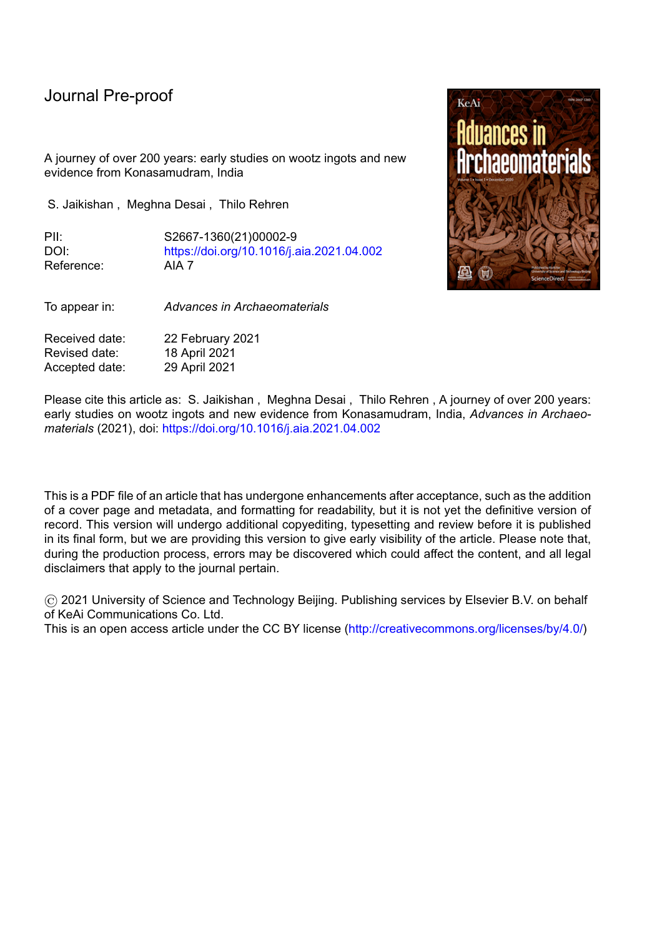l

Mushet and reports Mushet's view of the incomplete melting of some cakes'. An example of such a conical, but incompletely fused ingot is published in Rao et al. (1970: 14, Fig. 4). The debate of partial or complete melting of steel within in the crucible may well be attributed to the analysis of ingots from different parts of southern India or to production inconsistencies. Unfortunately, the lack of documented provenance of the early ingots, and limited details of description given in the early accounts, prevent us from assigning the two distinct shapes of 'cones' vs cakes' with confidence to specific production regions.

A similar uncertainty persists regarding the actual steel-making process, and the different production recipes thus remain strongly contested. Craddock (2007) advocates the co-fusion method having been used in Telangana, whereby the crucible was charged with high carbon or cast iron and a low carbon or bloomery iron to produce a resulting ingot of wootz, of intermediate carbon content – in what is referred to as the Hyderabad Process. This is consistent with Voysey's account from the same region, who also appears to state mixing of two different types of iron in the crucible. Elsewhere, the historical accounts consistently refer to the carburisation of low-carbon or bloomery iron through the addition of organic plant matter to the crucible charge – the Mysore Process. A more detailed description of these is given in Bronson (1986).

It is possible that production methods changed over time or multiple methods could have been in use at the same time. Most reports are from the declining phase of the production industry, which could have materially affected many aspects of production. There is also a strong possibility that the early metallurgists have analysed steel ingots from different parts of southern India, given that their origins are not stated and their physical descriptions vary. This is not surprising, since the analysts may have been unfamiliar with the geographical setting of the production industry, and the passion of working with the fabled wootz steel appeared to supersede the logical need for a more fine-grained documentation. There is no further provenance evidence from the letters of Helenus Scott or from Joseph Banks, and the diary of Voysey which was submitted to the Asiatic Society cannot be located. Due to these literary and experimental limitations, studying the current hoard in detail becomes even more important.

## **3.2. Standardisation of dimensions**

In crucible steel production, each ingot was formed from a unique single-use crucible, accurately preserving their inner dimensions of diameter, circumference and bottom shape. Studies of large numbers of crucible steel-making crucibles in Central Asia have shown that they were mass-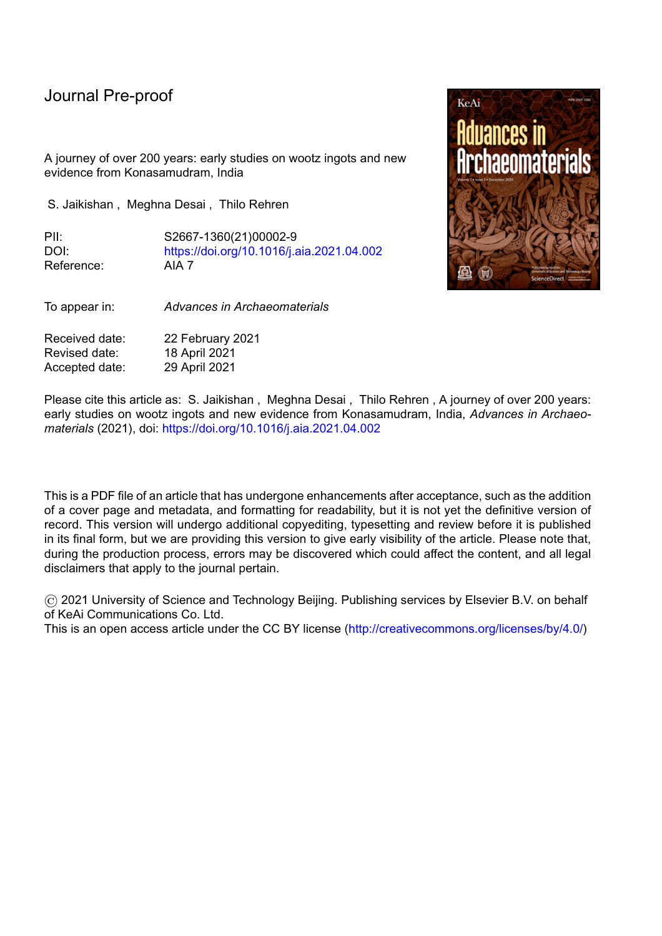l

produced around wooden cloth-covered templates, resulting in highly standardised diameters (Rehren and Papakhristu 2000; Alipour et al. 2011; Alipour & Rehren 2014). Contrary to metal casting, no mould twins are possible in crucible steel ingot production; accordingly, a study of finished ingots can inform on the production of multiple crucibles, and vice versa. It is therefore noteworthy that the ingot dimensions from the hoard scatter very narrowly around the mean (Fig. 3), indicating a high degree of standardization as would be expected for a product of large-scale trade, as opposed to opportunistic or ad hoc production, which would likely result in higher degrees of variability. The observation of close similarity in diameter and mass was consistent across the entire hoard, even beyond the 45 measured examples  $(Fig. 4)$ .

The historical sources are mostly silent on the organisation of the crucible production in Telangana, no evidence of standardisation has yet been documented or discussed for the Indian crucibles, and the variability in crucible diameters reported in the literature suggests that no general template was used. However, some inferences can be drawn from the extant historical reports. A crucible must have an external diameter in the range of 110-130 mm to support the formation of an ingot of 100-110 mm diameter, allowing for a wall thickness of around 5 to 10 mm, as measured for the majority of crucible fragments from Konasamudram. According to Voysey's notes (1832), the diameter and height of a Konasamudram furnace was 5ft (c. 1.5 m) and 4-5 ft (c. 1.2-1.5 m) respectively. Based on this the number of crucibles of 12 cms outer diameter which can be fired in a single cycle can be determined. A schematic (Fig. 5) shows the possible arrangement and number of crucibles in a single layer, allowing for a distance of 20 mm between the crucibles to prevent them fusing together. A maximum of 61 crucibles can be placed in this furnace. Therefore, it is possible that the hoard documented in this study is a result of a single firing cycle, therefore providing a unique opportunity to demonstrate the precision with which the crucibles for these ingots were produced. The mass of the ingots varies somewhat more widely than their diameter; it seems that the metal charge was added to the crucibles without the use of scales.

From the extensive field survey of the first author, several well-preserved crucible bases from Konasamudram were retrieved with a base diameter of 110-115 mm. When digitally recombined (Figs 6, 7) with an ingot from this hoard, both components convincingly position themselves on one another. Thus, it further adds value to the hoard being produced in Konasamudram, with an archaeologically documented example of corresponding crucible base diameter that would be required for the process.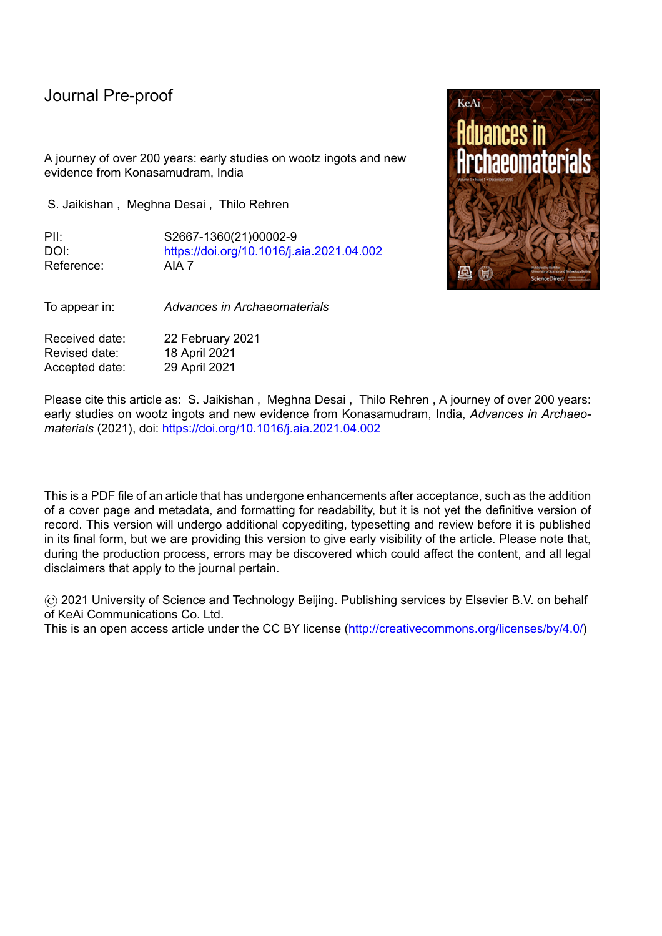l

The constant mass of the ingots of just over 1 kg could indicate an intended weight of 1 seer, which during British rule over India was set at 0.933 kg; however, weights were standardised differently in the Nizam's dominion and were subjected to regular change. Elsewhere, the ingot size is said to be determined by the intended artefact to be produced from them locally, which is less likely the case for ingots destined for long-distance trade, as appears to be the case in Konasamudram.

#### **4. Conclusion**

In the last two hundred years several samples of crucible steel from Southern India were examined, often after having passed through many owners and without their provenance being recorded or documented. From these reports, two broad types of ingots appear, namely flat cakes and taller cones, potentially linked to different production regions within southern India. Another noteworthy point is the trade of these ingots to Persia. In the mid-17<sup>th</sup> century, Tavernier confirms an existing trade in wootz ingots between the Kingdom of Golconda and Persia, which was persisting in 1820s as ascertained by Vosey's report of the repeated presence of Haji Hoysn from Isfahan in Konasamudram to buy up wootz ingots.

Against the diversity of ingot shapes and sizes reported in the literature, the hoard of sixty ingots reported here for the first time shows a high degree of standardisation in production of the crucibles used in Konasamudram, Telangana. The variability in diameter is too large to be the result of a physical template around which multiple crucibles would have been formed, as was the case in early Islamic Central Asia, but small enough to indicate that they were produced by a highly skilled and experienced craftsman. They are likely to represent the product of a single furnace firing but that needs further examination. Visually and morphologically these ingots closely match ingot descriptions used for experiments in Europe in the  $18<sup>th</sup>$  and  $19<sup>th</sup>$  century, but there is no credible evidence that those ingot samples can be provenanced to Telangana. Therefore, any comparison between the current data and the early  $18<sup>th</sup>/19<sup>th</sup>$  century data must be implemented cautiously. Regardless, this hoard is a unique testament to the technical capability of the craftsmen of Konasamudram, confirming the village's reputation as a specialised crucible steel production centre in pre-modern India.

#### **Declaration of interests**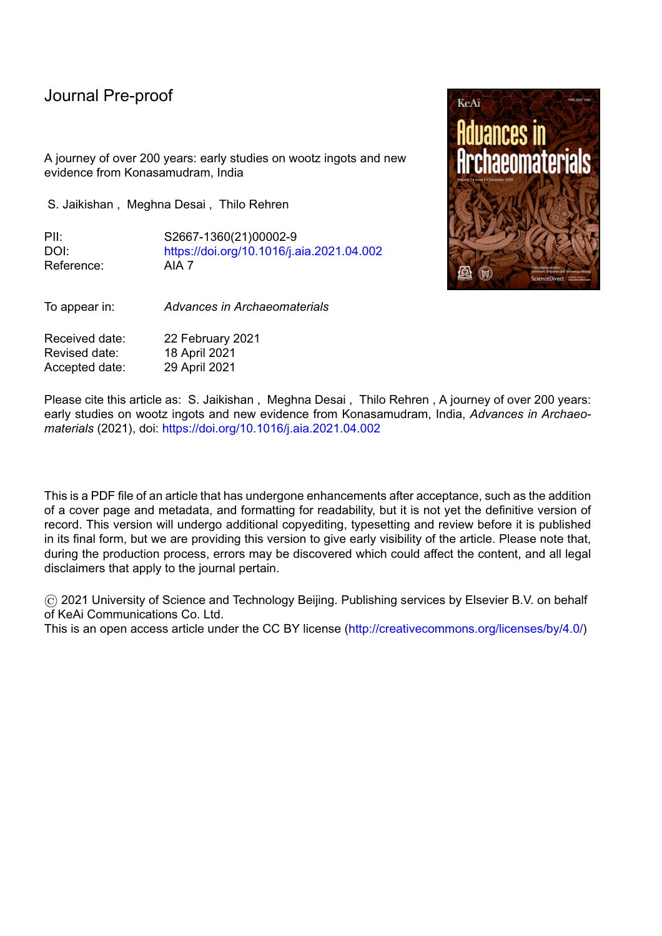$\boxtimes$  The authors declare that they have no known competing financial interests or personal relationships that could have appeared to influence the work reported in this paper.

l

## **Acknowledgements**

The authors extend their foremost gratitude to Mr Poshanna for having provided this hoard for research purposes. The authors are obliged to the Telangana State Archaeology, Hyderabad for their counsel. The authors also thank the faculty and technical staff at The Cyprus Institute and at STARC (the Science and Technology in Archaeology and Culture Research Center) for their assistance with equipment and analysis, as well as for 3D rendering of the crucible base by I. Giraud. Gracious acknowledgement is given to the Gerda Henkel Foundation for funding the doctoral study programme of the  $2<sup>nd</sup>$  author. The generously given advice by Paul Craddock to the  $3<sup>rd</sup>$  author regarding Indian archaeometallurgy over the past decades is gratefully acknowledged, as are the comments of two anonymous peer reviewers.

#### **Bibliography**

- Alipour, R., Gleba, M. & Rehren, Th. 2011. Textile templates for ceramic crucibles in early Islamic Akhsiket, Uzbekistan. *Archaeological Textiles Newsletter* 53, 15-27.
- Alipour, R. & Rehren, Th., 2014. Persian Pul d Production: Ch hak Tradition. *Journal of Islamic Archaeology*, 1(2), 231-261.
- Anantharamu, T.R., Craddock, P.T., Nagesh Rao, K., Murthy, S.R.N. & Wayman, M.L. (1999) Crucible steel of Ghattihosahalli, Chitradurga District, Karnataka, southern India. *Historical Metallurgy* 33, 13-25.
- Ball, V. (1883). Economic Geology, Vol. III, Calcutta, pp. 335-360.
- Bhukya, B. (2013). Enclosing Land, Enclosing Adivasis in Central India, 1853-1948. *Indian Historical Review,* 40(1), 93-116.
- Bilgrami, H. & Willmott, C. (1883). *Historical and Descriptive Sketch of His Highness The*   $Pk/c$  o  $\phi u''Fq$  o kpkqpu. "Xqn0"K0 Bombay, pp. 397-401.
- Bronson, B. (1986). The making and selling of wootz, a crucible steel of India. *Archeomaterials* 1, 13-51.
- Buchanan, H.F. 1807. *A journey from Madras through the countries of Mysore, Canara and Malabar,* London.
- Burton, R. (1884). *The Book of the Sword.* London: Chatto &Windus
- Campbell, J. (1842). Report upon the manufacture of Natural Steel in Southern India*. Journal of Asiatic Society of Bengal*, (XI), Part II, Calcutta: 895-96.

Coomaraswamy, A.K., 1956. *Medieval Sinhalese Art*, 2<sup>nd</sup> ed., Pantheon Books, New York.

Coze, J.L. (2007). On the question of possible transfer of steel technology from India to Europe through the Muslim Middle East. *Indian Journal of History of Science* 42(3): 337-375.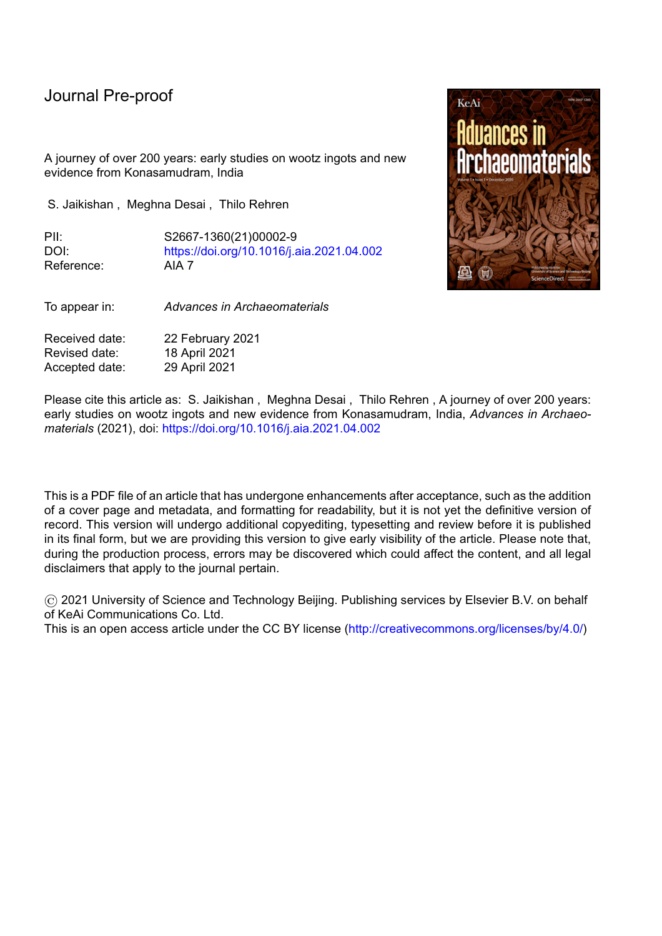Craddock, P.T. 1995. *Early Metal Mining and Production*. Edinburgh Press.

l

- Craddock, P.T. (2007). Cast Iron: The elusive feedstock of crucible steel. *Indian Journal of History of Science* 42(4):593-607.
- Feuerbach, A., D. R. Griffiths and J. F. Merkel. 1998. An examination of crucible steel in the manufacture of Damascus steel, including evidence from Merv, Turkmenistan. In: Th. Rehren, A. Hauptmann and J. Muhly (ed.) *Metallurgica Antiqua*: 37–44. Der Anschnitt Beiheft 8. Bochum: Deutsches Bergbau-Museum.
- Feuerbach, A.M. 2002. Crucible steel in Central Asia: production, use and origins. Doctoral thesis, University of London.
- Feuerbach, A.M. & Hanley, T. 2017. "Ulfberht blades: new answers to old questions. *History of Antique Arms, Researches 2016*, I: 73-81.
- Feuerbach, A., D. R. Griffiths & J. F. Merkel. 2003. Early Islamic crucible steel production at Merv, Turkmenistan. P. T. Craddock & J. Lang (ed) *Mining and Metal Production through the Ages*: 258–266. London: The British Museum Press.
- Heath, J.M. (1839). On Indian Iron and Steel. *Journal of the Royal Asiatic Society* 5:390-393.
- Heyne, B. (1814). *Tracts, Historical and Statistical on India*. London.
- Jaikishan, S. 2007a. Interview with Wootz steel worker from Konapuram village in Northern Telangana. *Indian Journal of the History of Science*, 42(4): 705-711.
- Jaikishan, S. 2007b. Historical Note Konasamudram: The famous Wootz steel production center. *Indian Journal of the History of Science* 42(4), 697-703.
- Juleff, G. 1998. *Early Iron and Steel in Sri Lanka: a Study of the Samanalawewa Area*. AVA-Materialien 54, Mainz.
- Juleff, G., Srinivasan, S., Ranganathan, S. 2011. Pioneering Metallurgy: The origins of iron and steel making in the Southern Indian Subcontinent. *Telangana Field Survey Interim Report*. Bangalore: National Institute of Advanced Studies.
- Juleff, G., 2015. Crucible steel at Hattota Amune, Sri Lanka, in the first millennium AD: archaeology and contextualisation. In: BUMA VII, 78-86.
- Lowe, T. 1989. Solidification and crucible processing of Deccani ancient steel. In: R. Trivedi, J.A. Shekhar and J. Mazumdar (eds.) *Proceedings, Indo-US Conference on Principles of Solidification and Materials Processing,* 729-740. Delhi: Oxford and IBH.
- Lowe, T. 1990. Indian iron ores and technology of Deccani wootz production. In: Benoit, P. & Fluzin, P. (ed) *Paleometallurgie du fer & Cultures*, 119-129. Belfort-Sevenans.
- Martin, R.M. 1839. *Statistics of the Colonies of the British Empire.* London: Allen & Co.
- Mushet, D. 1840. *Papers on Iron and Steel: Practical and Experimental*. London: Royal Society.
- Pearson, G. 1795. Experiments and observations to investigate the nature of a kind of steel called Wootz. *Philosophical Transactions of the Royal Society,* XVII.
- Prinsep, J. 1840. Useful Tables, Forming an Appendix to the Journal of the Asiatic Society, Part I *Coins, Weights & Measures of British India,* Calcutta.
- Reddy, G., Kumar, A.K., Rao, P.T. & Baginski, S.O. 2010. *Vig' Ocmkpi'' qh'' Cpf i tcou'' Hqtguv'' Underclass: An Historical Institutional Analysis of Forest Rights Deprivation*, IPPG Discussion Papers, Manchester.
- Rehren, Th. & Papakhristu, O. 2000. Cutting edge technology the Ferghana Process of medieval crucible steel smelting. *Metalla* (Bochum) 7, 55-69.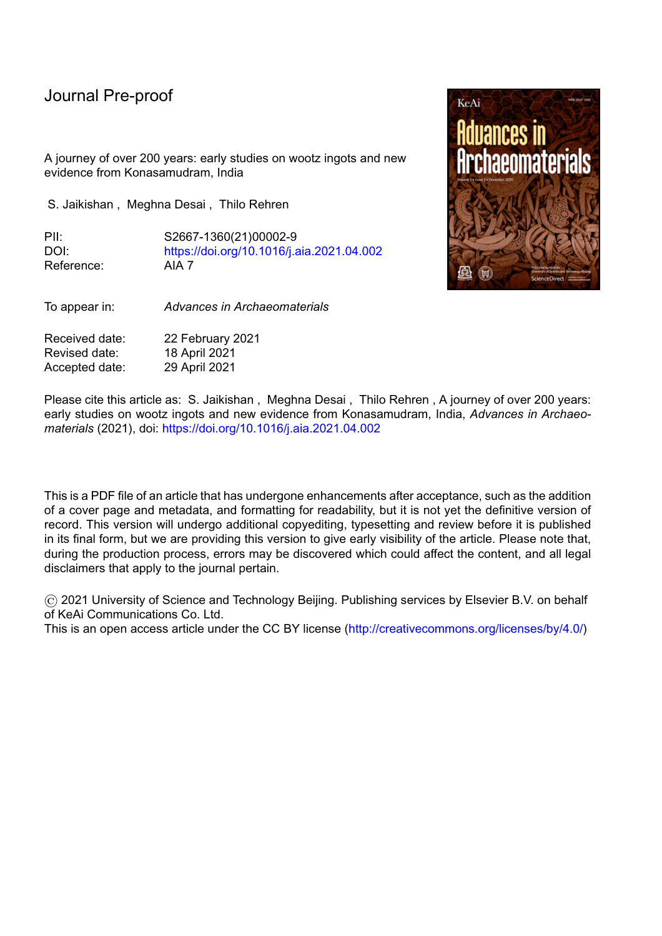l

- Rehren, Th. & Papachristou, O. 2003. Similar like white and black: a comparison of steelmaking crucibles from Central Asia and the Indian subcontinent. In: Th. Stoellner, G. Körlin, G. Steffens, J. Cierny (eds), *Man and Mining*, (=Der Anschnitt, Beiheft 16, Bochum), pp. 393-404.
- Schwarz, von C.R. 1901. The Indian iron and steel industry, *Stahl und Eisen* 21: 209-11, 277- 83, 337-41, 391-99.
- Scott, D.A. 2013. *Ancient Metals: Microstructure and Metallurgy: volume IV. Iron and Steel*.
- Smith, C.S. 1960. *A History of Metallography*. The development of ideas on the structure of metal before 1890. Chicago: University of Chicago Press.
- Srinivasan S. 1994. Wootz crucible steel: a newly discovered production site in South India. *Papers from the Institute of Archaeology* 5, 49-59.
- Srinivasan, S. & Griffiths, D. 1997. Crucible steel in south India Preliminary investigations on crucibles from newly identified sites. P. Vandiver, J. Druzik, J. Merkel & J. Stewart (ed) *Materials Issues in Art and Archaeology V*: 111-125.
- Tavernier, J.B. 1676. (trans 1925) *Travels in India by Jean-Baptiste Tavernier Vol. I*. Translated by Ball, V. Crooke, W (ed.) 2nd edition, Oxford University Press.
- Thevenot, de. J. 1687. *The Travels of Monsieur de Thevenot, Third Part,* Containing the Relation of Indostan, The New Mughals, and People and Countries of Indies. London.
- Torrens, H. 1842. *Journal of the Asiatic Society of Bengal* XI: 892. Calcutta.
- Verhoeven, J.D. 2001. The Mystery of Damascus Blades. *Scientific American* 284 (1):74-79.
- Voysey, H.W. 1832. Description of the Native Manufacture of Steel in Southern India. *Journal of Asiatic Society of Bengal* 1, 245-47. Calcutta.
- Walker, Dr., 1850. Statistical Report on the Northern and Eastern Districts of the Soubah of Hyderabad. *Madras Journal of Literature and Science* XVI: 182-235.
- Wilkinson, H. 1837. Art. XII.—On the Cause of the external Pattern, or Watering of the Damascus Sword-Blades. *Journal of the Royal Asiatic Society*, 4(7): 187-193.
- Williams, A., 2015. Crucible steel in medieval European and Indian swords. In: S. Srinivasan, S. Ranganathan & A. Giumlia-Mair (eds), *Metals and Civilizations BUMA VII*, 198-204.

Table 1: Physical examination of the ingots:

| Sample                  | weight<br>(gms) | diameter<br>(mm) |     | circumference | height/thickness<br>(mm) |     |
|-------------------------|-----------------|------------------|-----|---------------|--------------------------|-----|
|                         |                 | Max              | Min | (mm)          | Max                      | Min |
| TS-KSM 1619 SJ [ING 01] | 1058            | 89               | 92  | 290           | 35                       | 4   |
| TS-KSM 1619 SJ [ING 02] | 1034            | 92               | 96  | 310           | 31                       | 20  |
| TS-KSM 1619 SJ [ING 03] | 1134            | 93               | 100 | 310           | 31                       | 10  |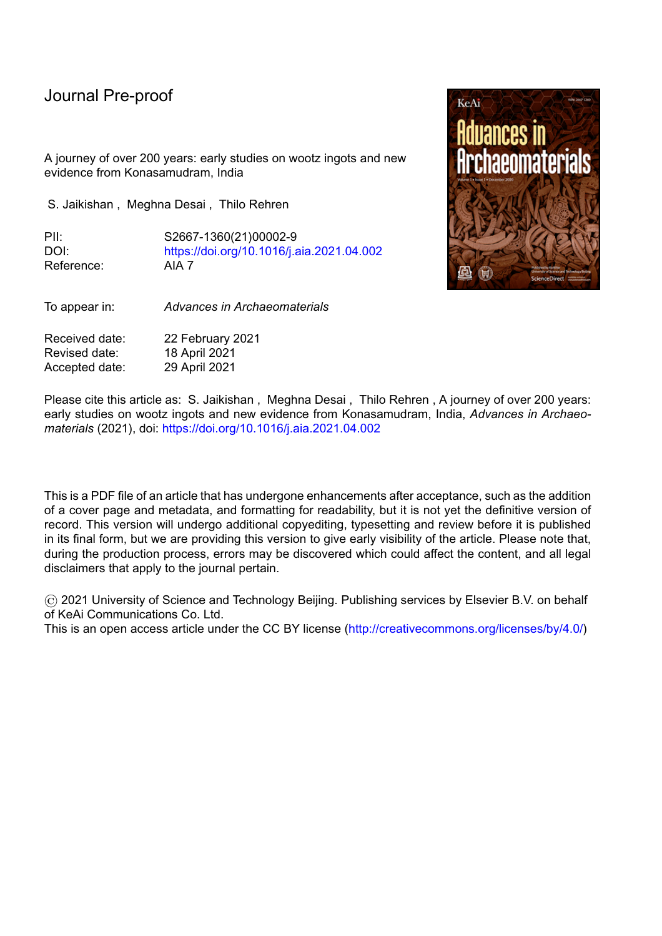| <b>Journal Pre-proof</b> |      |    |     |     |    |                |  |
|--------------------------|------|----|-----|-----|----|----------------|--|
| TS-KSM 1619 SJ [ING 04]  | 1024 | 90 | 96  | 295 | 29 | 13             |  |
| TS-KSM 1619 SJ [ING 05]  | 1035 | 92 | 97  | 310 | 35 | 14             |  |
| TS-KSM 1619 SJ [ING 06]  | 1128 | 94 | 95  | 305 | 29 | 14             |  |
| TS-KSM 1619 SJ [ING 07]  | 1098 | 95 | 96  | 305 | 27 | 18             |  |
| TS-KSM 1619 SJ [ING 08]  | 1004 | 90 | 92  | 295 | 26 | 12             |  |
| TS-KSM 1619 SJ [ING 09]  | 1071 | 89 | 97  | 310 | 32 | 9              |  |
| TS-KSM 1619 SJ [ING 10]  | 1008 | 89 | 94  | 300 | 29 | 16             |  |
| TS-KSM 1619 SJ [ING 11]  | 954  | 88 | 96  | 300 | 32 | 17             |  |
| TS-KSM 1619 SJ [ING 12]  | 1056 | 93 | 100 | 310 | 26 | 19             |  |
| TS-KSM 1619 SJ [ING 13]  | 1041 | 92 | 95  | 300 | 30 | 20             |  |
| TS-KSM 1619 SJ [ING 14]  | 1137 | 97 | 102 | 320 | 26 | 18             |  |
| TS-KSM 1619 SJ [ING 15]  | 1039 | 90 | 94< | 300 | 29 | 22             |  |
| TS-KSM 1619 SJ [ING 16]  | 1003 | 95 | 96  | 300 | 29 | 6              |  |
| TS-KSM 1619 SJ [ING 17]  | 1116 | 96 | 98  | 310 | 30 | 20             |  |
| TS-KSM 1619 SJ [ING 18]  | 1062 | 82 | 96  | 300 | 26 | 18             |  |
| TS-KSM 1619 SJ [ING 19]  | 1063 | 92 | 95  | 305 | 30 | 17             |  |
| TS-KSM 1619 SJ [ING 20]  | 1100 | 93 | 99  | 310 | 27 | 13             |  |
| TS-KSM 1619 SJ [ING 21]  | 1015 | 91 | 94  | 300 | 33 | 10             |  |
| TS-KSM 1619 SJ [ING 22]  | 1128 | 94 | 98  | 300 | 35 | 12             |  |
| TS-KSM 1619 SJ [ING 23]  | 1139 | 96 | 97  | 310 | 28 | 22             |  |
| TS-KSM 1619 SJ [ING 24]  | 1137 | 96 | 103 | 315 | 29 | 17             |  |
| TS-KSM 1619 SJ [ING 25]  | 973  | 93 | 95  | 300 | 27 | $\overline{7}$ |  |
| TS-KSM 1619 SJ [ING 26]  | 1051 | 91 | 94  | 290 | 29 | 13             |  |
| TS-KSM 1619 SJ [ING 27]  | 1072 | 95 | 98  | 310 | 27 | 18             |  |
| TS-KSM 1619 SJ [ING 28]  | 1134 | 95 | 99  | 315 | 28 | 19             |  |
| TS-KSM 1619 SJ [ING 29]  | 1008 | 93 | 94  | 305 | 26 | 13             |  |
| TS-KSM 1619 SJ [ING 30]  | 942  | 93 | 95  | 300 | 27 | 12             |  |
| TS-KSM 1619 SJ [ING 31]  | 1137 | 95 | 100 | 310 | 31 | 11             |  |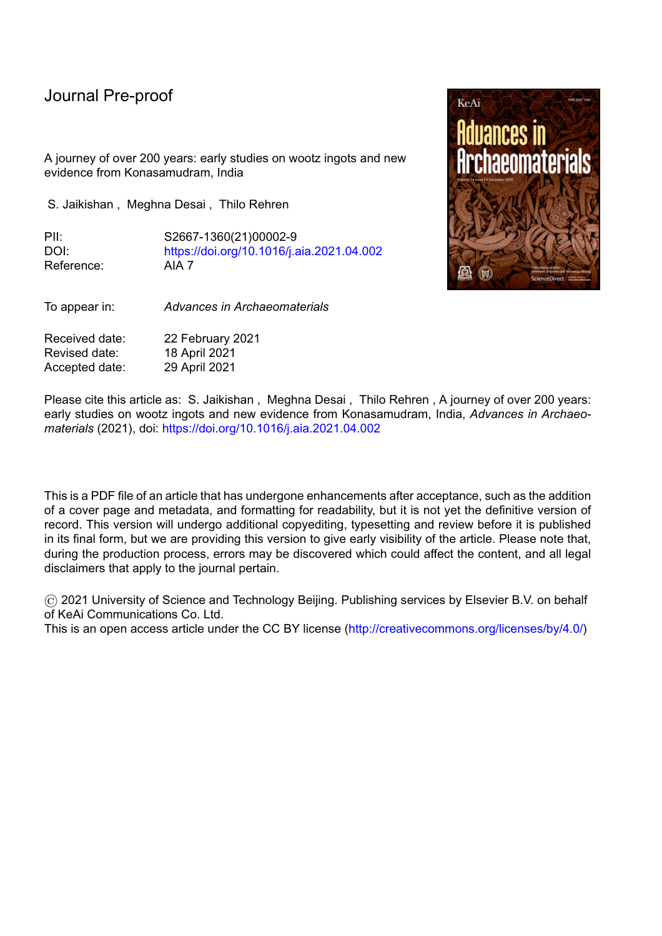| <b>Journal Pre-proof</b> |      |     |     |     |    |    |  |
|--------------------------|------|-----|-----|-----|----|----|--|
| TS-KSM 1619 SJ [ING 32]  | 1147 | 96  | 99  | 315 | 27 | 15 |  |
| TS-KSM 1619 SJ [ING 33]  | 1123 | 94  | 98  | 310 | 27 | 12 |  |
| TS-KSM 1619 SJ [ING 34]  | 1011 | 91  | 94  | 310 | 32 | 10 |  |
| TS-KSM 1619 SJ [ING 35]  | 968  | 93  | 94  | 300 | 31 | 19 |  |
| TS-KSM 1619 SJ [ING 36]  | 1034 | 100 | 96  | 310 | 30 | 18 |  |
| TS-KSM 1619 SJ [ING 37]  | 1140 | 99  | 100 | 320 | 26 | 17 |  |
| TS-KSM 1619 SJ [ING 38]  | 1150 | 98  | 99  | 310 | 29 | 15 |  |
| TS-KSM 1619 SJ [ING 39]  | 1141 | 94  | 96  | 300 | 33 | 12 |  |
| TS-KSM 1619 SJ [ING 40]  | 1024 | 92  | 94  | 300 | 31 | 15 |  |
| TS-KSM 1619 SJ [ING 41]  | 1057 | 91  | 96  | 295 | 31 | 19 |  |
| TS-KSM 1619 SJ [ING 42]  | 1025 | 93  | 96  | 305 | 28 | 19 |  |
| TS-KSM 1619 SJ [ING 43]  | 1110 | 96  | 100 | 310 | 27 | 13 |  |
| TS-KSM 1619 SJ [ING 44]  | 1125 | 92  | 98  | 310 | 30 | 19 |  |
| TS-KSM 1619 SJ [ING 45]  | 1011 | 89  | 93  | 290 | 27 | 19 |  |

Fig 1: Map of India with locations of crucible steel production sites mentioned in the text.

Duf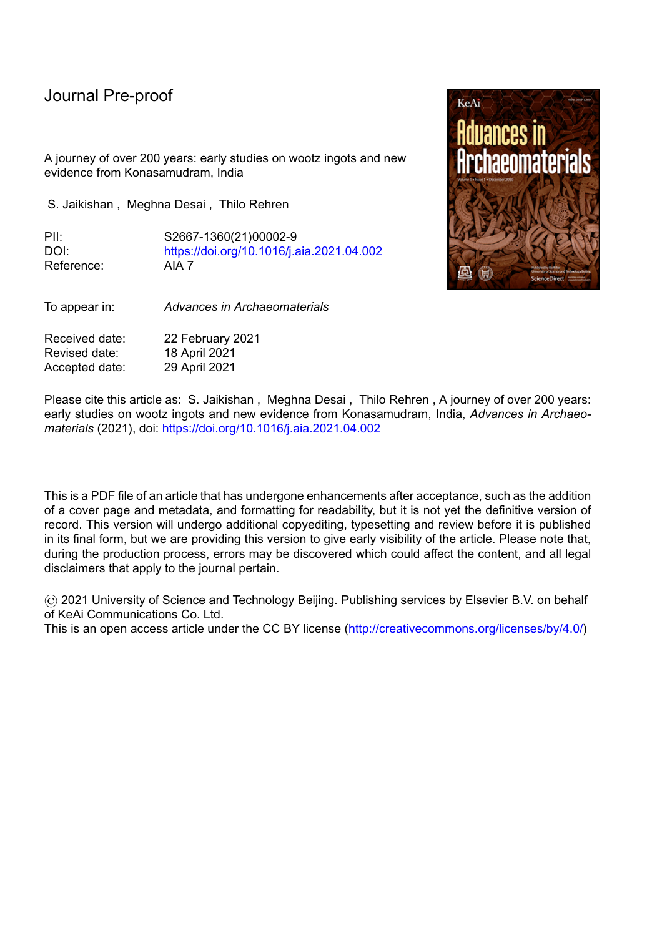

l

Fig. 2. One of the 60 ingots recovered in Konasamudram in 2016. Note the radial dendritic surface pattern and the circular line indicating the limit of the slag cover within the crucible. Ingot 06: 94-95 mm diameter, weight 1128 g.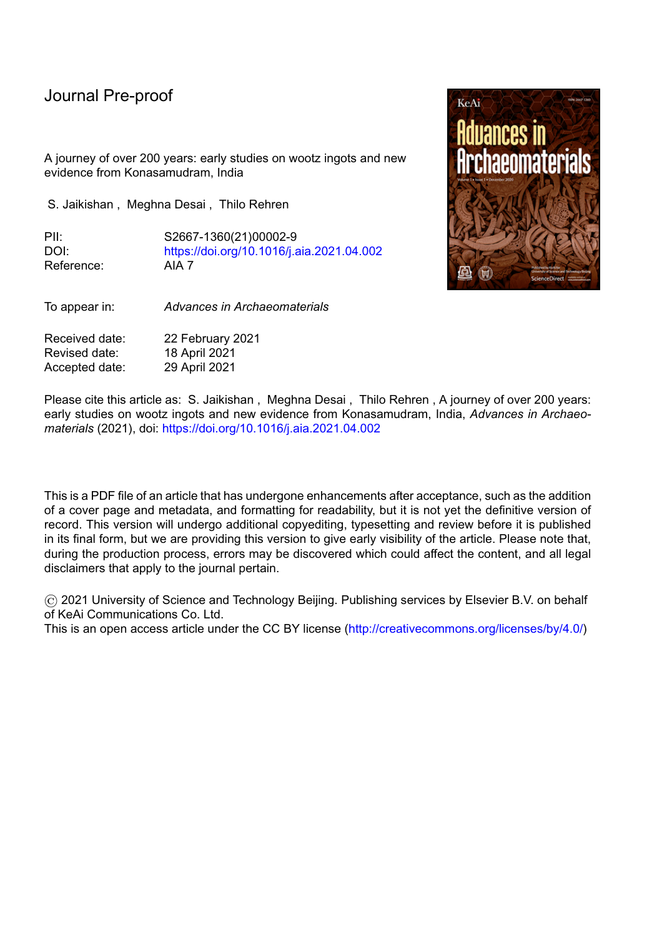

Fig. 3. Dimensions of 45 of the 60 ingots recovered in Konasamudram in 2016. Note the very tight clustering of their diameter around 95 mm, and the somewhat larger scatter of their weight, with an average of 1066 g.



Fig 4: 45 ingots from the hoard of 60 ingots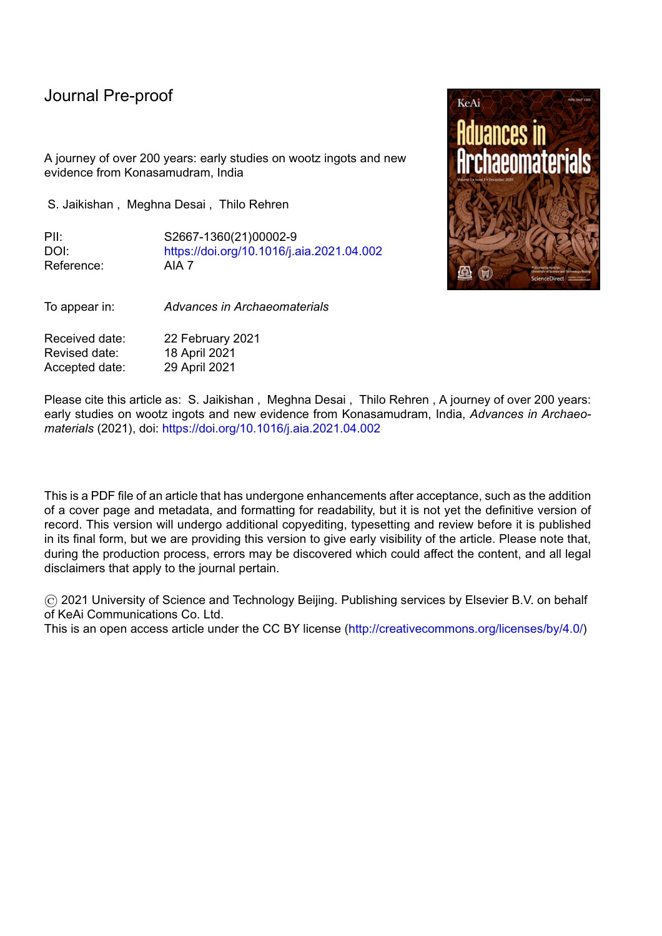

Fig 5: Schematic displaying a potential spatial arrangement of the crucibles in the Konasamudram furnace. The centre has one crucible and is surrounded by increasingly larger circles progressing towards the circumference of the furnace. The wall thickness of the furnace is ignored in this calculation as it only shows a maximum possibility. This number may vary with the size of the crucible and the volume occupied by charcoal in the furnace. Produced using SolidWorks.



Fig 6: Photographic representation of a preserved crucible base from Konasamudram using 3D rendering in MAYA 2019.